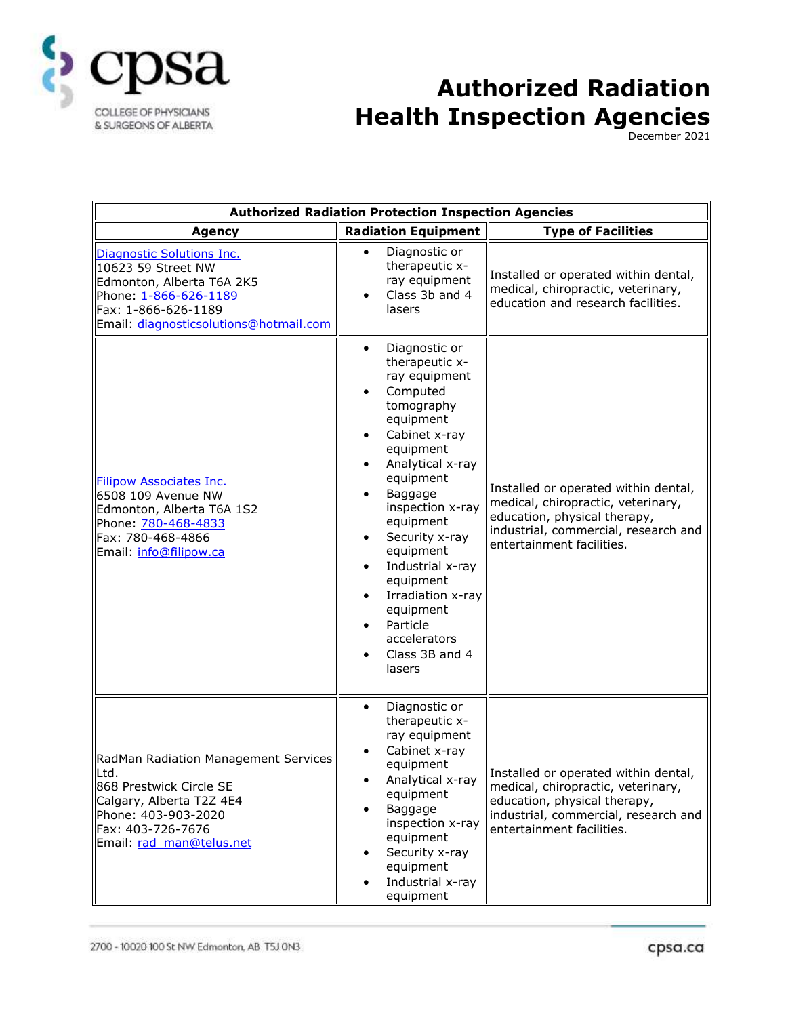

## **Authorized Radiation Health Inspection Agencies**

December 2021

| <b>Authorized Radiation Protection Inspection Agencies</b>                                                                                                                   |                                                                                                                                                                                                                                                                                                                                                                                                                  |                                                                                                                                                                                 |
|------------------------------------------------------------------------------------------------------------------------------------------------------------------------------|------------------------------------------------------------------------------------------------------------------------------------------------------------------------------------------------------------------------------------------------------------------------------------------------------------------------------------------------------------------------------------------------------------------|---------------------------------------------------------------------------------------------------------------------------------------------------------------------------------|
| <b>Agency</b>                                                                                                                                                                | <b>Radiation Equipment</b>                                                                                                                                                                                                                                                                                                                                                                                       | <b>Type of Facilities</b>                                                                                                                                                       |
| Diagnostic Solutions Inc.<br>10623 59 Street NW<br>Edmonton, Alberta T6A 2K5<br>Phone: 1-866-626-1189<br>Fax: 1-866-626-1189<br>Email: diagnosticsolutions@hotmail.com       | Diagnostic or<br>$\bullet$<br>therapeutic x-<br>ray equipment<br>Class 3b and 4<br>$\bullet$<br>lasers                                                                                                                                                                                                                                                                                                           | Installed or operated within dental,<br>medical, chiropractic, veterinary,<br>education and research facilities.                                                                |
| <b>Filipow Associates Inc.</b><br>6508 109 Avenue NW<br>Edmonton, Alberta T6A 1S2<br>Phone: 780-468-4833<br>Fax: 780-468-4866<br>Email: info@filipow.ca                      | Diagnostic or<br>therapeutic x-<br>ray equipment<br>Computed<br>tomography<br>equipment<br>Cabinet x-ray<br>$\bullet$<br>equipment<br>Analytical x-ray<br>$\bullet$<br>equipment<br>Baggage<br>inspection x-ray<br>equipment<br>Security x-ray<br>equipment<br>Industrial x-ray<br>$\bullet$<br>equipment<br>Irradiation x-ray<br>$\bullet$<br>equipment<br>Particle<br>accelerators<br>Class 3B and 4<br>lasers | Installed or operated within dental,<br>medical, chiropractic, veterinary,<br>education, physical therapy,<br>industrial, commercial, research and<br>entertainment facilities. |
| RadMan Radiation Management Services<br>lLtd.<br>868 Prestwick Circle SE<br>Calgary, Alberta T2Z 4E4<br>Phone: 403-903-2020<br>Fax: 403-726-7676<br>Email: rad man@telus.net | Diagnostic or<br>$\bullet$<br>therapeutic x-<br>ray equipment<br>Cabinet x-ray<br>equipment<br>Analytical x-ray<br>٠<br>equipment<br>Baggage<br>inspection x-ray<br>equipment<br>Security x-ray<br>equipment<br>Industrial x-ray<br>equipment                                                                                                                                                                    | Installed or operated within dental,<br>medical, chiropractic, veterinary,<br>education, physical therapy,<br>industrial, commercial, research and<br>entertainment facilities. |